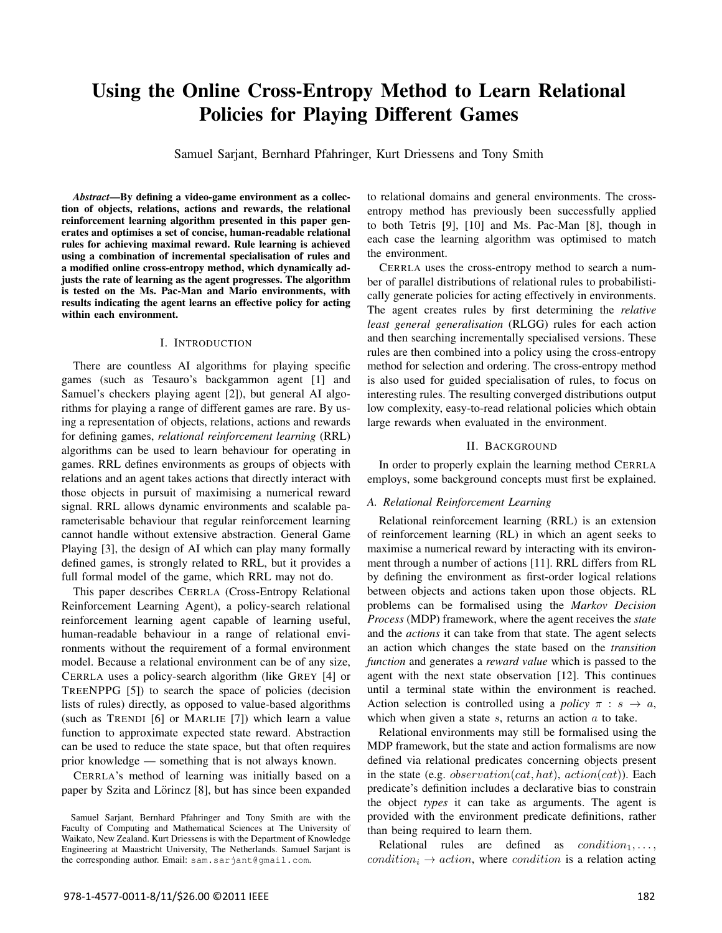# Using the Online Cross-Entropy Method to Learn Relational Policies for Playing Different Games

Samuel Sarjant, Bernhard Pfahringer, Kurt Driessens and Tony Smith

*Abstract*—By defining a video-game environment as a collection of objects, relations, actions and rewards, the relational reinforcement learning algorithm presented in this paper generates and optimises a set of concise, human-readable relational rules for achieving maximal reward. Rule learning is achieved using a combination of incremental specialisation of rules and a modified online cross-entropy method, which dynamically adjusts the rate of learning as the agent progresses. The algorithm is tested on the Ms. Pac-Man and Mario environments, with results indicating the agent learns an effective policy for acting within each environment.

#### I. INTRODUCTION

There are countless AI algorithms for playing specific games (such as Tesauro's backgammon agent [1] and Samuel's checkers playing agent [2]), but general AI algorithms for playing a range of different games are rare. By using a representation of objects, relations, actions and rewards for defining games, *relational reinforcement learning* (RRL) algorithms can be used to learn behaviour for operating in games. RRL defines environments as groups of objects with relations and an agent takes actions that directly interact with those objects in pursuit of maximising a numerical reward signal. RRL allows dynamic environments and scalable parameterisable behaviour that regular reinforcement learning cannot handle without extensive abstraction. General Game Playing [3], the design of AI which can play many formally defined games, is strongly related to RRL, but it provides a full formal model of the game, which RRL may not do.

This paper describes CERRLA (Cross-Entropy Relational Reinforcement Learning Agent), a policy-search relational reinforcement learning agent capable of learning useful, human-readable behaviour in a range of relational environments without the requirement of a formal environment model. Because a relational environment can be of any size, CERRLA uses a policy-search algorithm (like GREY [4] or TREENPPG [5]) to search the space of policies (decision lists of rules) directly, as opposed to value-based algorithms (such as TRENDI [6] or MARLIE [7]) which learn a value function to approximate expected state reward. Abstraction can be used to reduce the state space, but that often requires prior knowledge — something that is not always known.

CERRLA's method of learning was initially based on a paper by Szita and Lörincz [8], but has since been expanded to relational domains and general environments. The crossentropy method has previously been successfully applied to both Tetris [9], [10] and Ms. Pac-Man [8], though in each case the learning algorithm was optimised to match the environment.

CERRLA uses the cross-entropy method to search a number of parallel distributions of relational rules to probabilistically generate policies for acting effectively in environments. The agent creates rules by first determining the *relative least general generalisation* (RLGG) rules for each action and then searching incrementally specialised versions. These rules are then combined into a policy using the cross-entropy method for selection and ordering. The cross-entropy method is also used for guided specialisation of rules, to focus on interesting rules. The resulting converged distributions output low complexity, easy-to-read relational policies which obtain large rewards when evaluated in the environment.

#### II. BACKGROUND

In order to properly explain the learning method CERRLA employs, some background concepts must first be explained.

#### *A. Relational Reinforcement Learning*

Relational reinforcement learning (RRL) is an extension of reinforcement learning (RL) in which an agent seeks to maximise a numerical reward by interacting with its environment through a number of actions [11]. RRL differs from RL by defining the environment as first-order logical relations between objects and actions taken upon those objects. RL problems can be formalised using the *Markov Decision Process* (MDP) framework, where the agent receives the *state* and the *actions* it can take from that state. The agent selects an action which changes the state based on the *transition function* and generates a *reward value* which is passed to the agent with the next state observation [12]. This continues until a terminal state within the environment is reached. Action selection is controlled using a *policy*  $\pi : s \rightarrow a$ , which when given a state  $s$ , returns an action  $a$  to take.

Relational environments may still be formalised using the MDP framework, but the state and action formalisms are now defined via relational predicates concerning objects present in the state (e.g. *observation(cat, hat), action(cat))*. Each predicate's definition includes a declarative bias to constrain the object *types* it can take as arguments. The agent is provided with the environment predicate definitions, rather than being required to learn them.

Relational rules are defined as  $condition_1, \ldots,$  $condition_i \rightarrow action$ , where *condition* is a relation acting

Samuel Sarjant, Bernhard Pfahringer and Tony Smith are with the Faculty of Computing and Mathematical Sciences at The University of Waikato, New Zealand. Kurt Driessens is with the Department of Knowledge Engineering at Maastricht University, The Netherlands. Samuel Sarjant is the corresponding author. Email: sam.sarjant@gmail.com.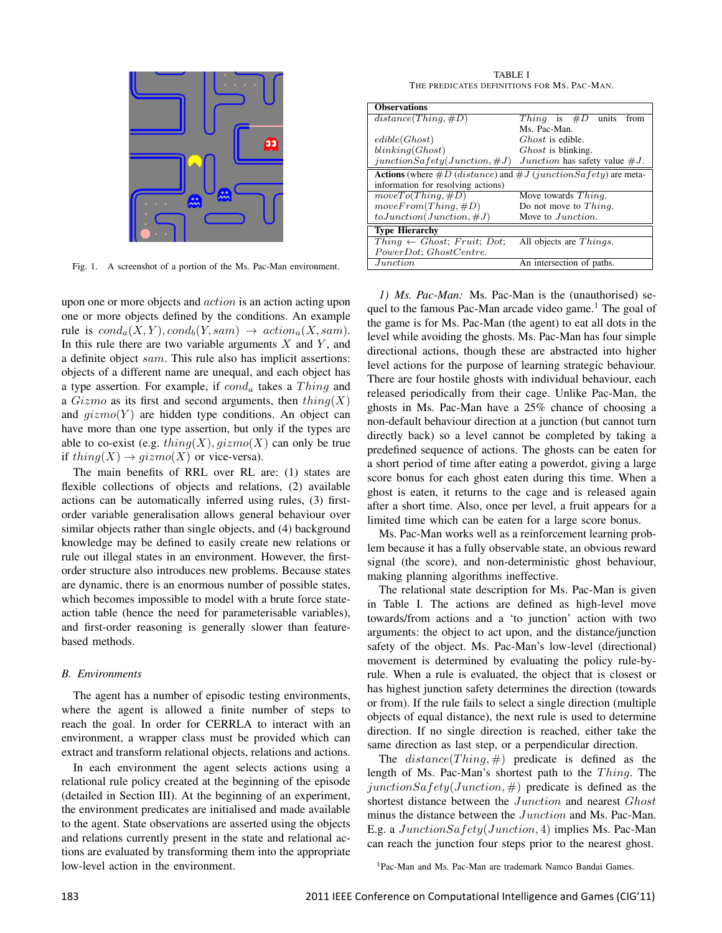

Fig. 1. A screenshot of a portion of the Ms. Pac-Man environment.

upon one or more objects and *action* is an action acting upon one or more objects defined by the conditions. An example rule is  $cond_a(X, Y), cond_b(Y, sam) \rightarrow action_a(X, sam)$ . In this rule there are two variable arguments  $X$  and  $Y$ , and a definite object sam. This rule also has implicit assertions: objects of a different name are unequal, and each object has a type assertion. For example, if  $cond_a$  takes a Thing and a  $Gizmo$  as its first and second arguments, then  $thing(X)$ and  $gizmo(Y)$  are hidden type conditions. An object can have more than one type assertion, but only if the types are able to co-exist (e.g.  $thing(X), gizmo(X)$  can only be true if  $thing(X) \rightarrow gizmo(X)$  or vice-versa).

The main benefits of RRL over RL are: (1) states are flexible collections of objects and relations, (2) available actions can be automatically inferred using rules, (3) firstorder variable generalisation allows general behaviour over similar objects rather than single objects, and (4) background knowledge may be defined to easily create new relations or rule out illegal states in an environment. However, the firstorder structure also introduces new problems. Because states are dynamic, there is an enormous number of possible states, which becomes impossible to model with a brute force stateaction table (hence the need for parameterisable variables), and first-order reasoning is generally slower than featurebased methods.

#### *B. Environments*

The agent has a number of episodic testing environments, where the agent is allowed a finite number of steps to reach the goal. In order for CERRLA to interact with an environment, a wrapper class must be provided which can extract and transform relational objects, relations and actions.

In each environment the agent selects actions using a relational rule policy created at the beginning of the episode (detailed in Section III). At the beginning of an experiment, the environment predicates are initialised and made available to the agent. State observations are asserted using the objects and relations currently present in the state and relational actions are evaluated by transforming them into the appropriate low-level action in the environment.

TABLE I THE PREDICATES DEFINITIONS FOR MS. PAC-MAN.

| <b>Observations</b>                                                           |                                          |  |
|-------------------------------------------------------------------------------|------------------------------------------|--|
| $distance(Think, \#D)$                                                        | Thing is $#D$<br>units<br>from           |  |
|                                                                               | Ms. Pac-Man.                             |  |
| edible(Ghost)                                                                 | <i>Ghost</i> is edible.                  |  |
| blinking(Ghost)                                                               | <i>Ghost</i> is blinking.                |  |
| $junctionSafety(Junction, \#J)$                                               | <i>Junction</i> has safety value $\#J$ . |  |
| <b>Actions</b> (where $\#D$ (distance) and $\#J$ (junction Sa fety) are meta- |                                          |  |
| information for resolving actions)                                            |                                          |  |
| $moveTo(Third, \#D)$                                                          | Move towards <i>Thing</i> .              |  |
| moveFrom(Think, #D)                                                           | Do not move to $Third$ .                 |  |
| $toJunction (Junction, \#J)$                                                  | Move to <i>Junction</i> .                |  |
| <b>Type Hierarchy</b>                                                         |                                          |  |
| $Third \leftarrow Ghost; Fruit; Dot;$                                         | All objects are <i>Things</i> .          |  |
| PowerDot; GhostCentre.                                                        |                                          |  |
| Junction                                                                      | An intersection of paths.                |  |

*1) Ms. Pac-Man:* Ms. Pac-Man is the (unauthorised) sequel to the famous Pac-Man arcade video game.<sup>1</sup> The goal of the game is for Ms. Pac-Man (the agent) to eat all dots in the level while avoiding the ghosts. Ms. Pac-Man has four simple directional actions, though these are abstracted into higher level actions for the purpose of learning strategic behaviour. There are four hostile ghosts with individual behaviour, each released periodically from their cage. Unlike Pac-Man, the ghosts in Ms. Pac-Man have a 25% chance of choosing a non-default behaviour direction at a junction (but cannot turn directly back) so a level cannot be completed by taking a predefined sequence of actions. The ghosts can be eaten for a short period of time after eating a powerdot, giving a large score bonus for each ghost eaten during this time. When a ghost is eaten, it returns to the cage and is released again after a short time. Also, once per level, a fruit appears for a limited time which can be eaten for a large score bonus.

Ms. Pac-Man works well as a reinforcement learning problem because it has a fully observable state, an obvious reward signal (the score), and non-deterministic ghost behaviour, making planning algorithms ineffective.

The relational state description for Ms. Pac-Man is given in Table I. The actions are defined as high-level move towards/from actions and a 'to junction' action with two arguments: the object to act upon, and the distance/junction safety of the object. Ms. Pac-Man's low-level (directional) movement is determined by evaluating the policy rule-byrule. When a rule is evaluated, the object that is closest or has highest junction safety determines the direction (towards or from). If the rule fails to select a single direction (multiple objects of equal distance), the next rule is used to determine direction. If no single direction is reached, either take the same direction as last step, or a perpendicular direction.

The  $distance(Thing, \#)$  predicate is defined as the length of Ms. Pac-Man's shortest path to the  $Thing$ . The junctionSafety(Junction,  $#$ ) predicate is defined as the shortest distance between the Junction and nearest Ghost minus the distance between the Junction and Ms. Pac-Man. E.g. a JunctionSafety(Junction, 4) implies Ms. Pac-Man can reach the junction four steps prior to the nearest ghost.

<sup>1</sup>Pac-Man and Ms. Pac-Man are trademark Namco Bandai Games.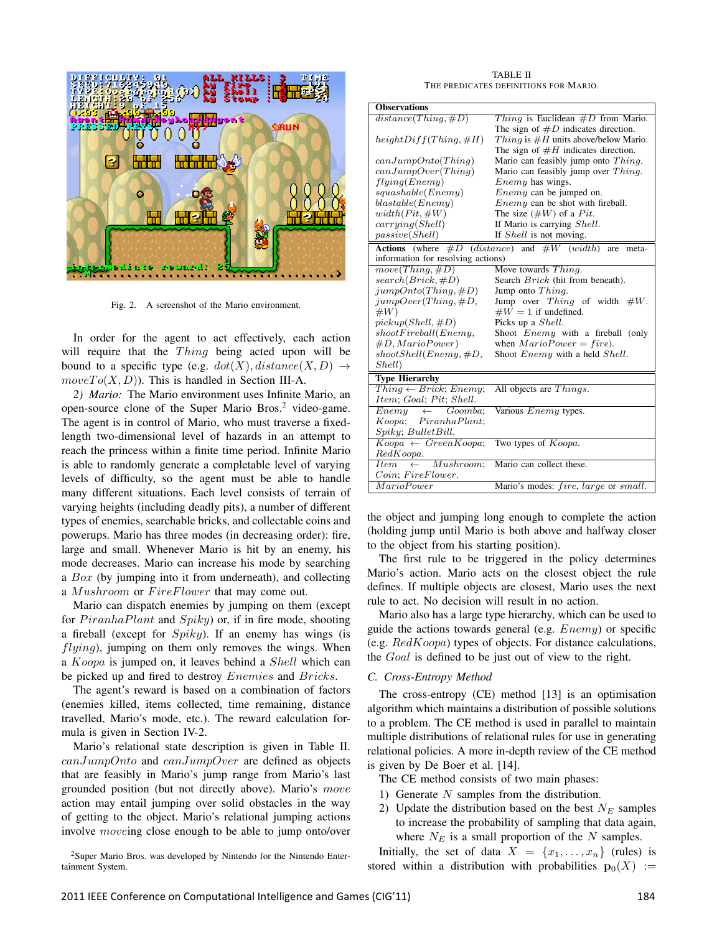

Fig. 2. A screenshot of the Mario environment.

In order for the agent to act effectively, each action will require that the  $Things$  being acted upon will be bound to a specific type (e.g.  $dot(X)$ ,  $distance(X, D) \rightarrow$  $moveTo(X, D)$ . This is handled in Section III-A.

*2) Mario:* The Mario environment uses Infinite Mario, an open-source clone of the Super Mario Bros.<sup>2</sup> video-game. The agent is in control of Mario, who must traverse a fixedlength two-dimensional level of hazards in an attempt to reach the princess within a finite time period. Infinite Mario is able to randomly generate a completable level of varying levels of difficulty, so the agent must be able to handle many different situations. Each level consists of terrain of varying heights (including deadly pits), a number of different types of enemies, searchable bricks, and collectable coins and powerups. Mario has three modes (in decreasing order): fire, large and small. Whenever Mario is hit by an enemy, his mode decreases. Mario can increase his mode by searching a *Box* (by jumping into it from underneath), and collecting a *Mushroom* or *FireFlower* that may come out.

Mario can dispatch enemies by jumping on them (except for  $PiranhaPlant$  and  $Spiky)$  or, if in fire mode, shooting a fireball (except for  $Spiky$ ). If an enemy has wings (is  $flying$ ), jumping on them only removes the wings. When a Koopa is jumped on, it leaves behind a Shell which can be picked up and fired to destroy *Enemies* and *Bricks*.

The agent's reward is based on a combination of factors (enemies killed, items collected, time remaining, distance travelled, Mario's mode, etc.). The reward calculation formula is given in Section IV-2.

Mario's relational state description is given in Table II. canJumpOnto and canJumpOver are defined as objects that are feasibly in Mario's jump range from Mario's last grounded position (but not directly above). Mario's move action may entail jumping over solid obstacles in the way of getting to the object. Mario's relational jumping actions involve moveing close enough to be able to jump onto/over

<sup>2</sup>Super Mario Bros. was developed by Nintendo for the Nintendo Entertainment System.

TABLE II THE PREDICATES DEFINITIONS FOR MARIO.

| <b>Observations</b>                                                    |                                               |  |
|------------------------------------------------------------------------|-----------------------------------------------|--|
| $distance(Thing, \#D)$                                                 | Thing is Euclidean $\#D$ from Mario.          |  |
|                                                                        | The sign of $\#D$ indicates direction.        |  |
| $heightDiff(Third, \#H)$                                               | <i>Thing</i> is $#H$ units above/below Mario. |  |
|                                                                        | The sign of $#H$ indicates direction.         |  |
| canJumpOnto(Third)                                                     | Mario can feasibly jump onto Thing.           |  |
| canJumpOver(Third)                                                     | Mario can feasibly jump over Thing.           |  |
| flying(Enemy)                                                          | <i>Enemy</i> has wings.                       |  |
| squashable(Enemy)                                                      | <i>Enemy</i> can be jumped on.                |  |
| blackable(Enemy)                                                       | <i>Enemy</i> can be shot with fireball.       |  |
| $width(Pit, \#W)$                                                      | The size $(\#W)$ of a Pit.                    |  |
| carrying(Shell)                                                        | If Mario is carrying Shell.                   |  |
| passive(Shell)                                                         | If <i>Shell</i> is not moving.                |  |
| <b>Actions</b> (where $#D$ (distance) and $#W$ (width)<br>are<br>meta- |                                               |  |
| information for resolving actions)                                     |                                               |  |
| $move(Third, \#D)$                                                     | Move towards Thing.                           |  |
| $search(Brick, \#D)$                                                   | Search <i>Brick</i> (hit from beneath).       |  |
| $jumpOnto(Third, \#D)$                                                 | Jump onto $Third$ .                           |  |
| $jumpOver(Things, \#D,$                                                | Jump over Thing of width $#W$ .               |  |
| #W)                                                                    | $\#W = 1$ if undefined.                       |  |
| $pickup(Shell, \#D)$                                                   | Picks up a <i>Shell</i> .                     |  |
| shootFireball(Enemy,                                                   | Shoot <i>Enemy</i> with a fireball (only      |  |
| #D, MarioPower)                                                        | when $MarioPower = fire$ ).                   |  |
| shootShell(Enemy, #D,                                                  | Shoot <i>Enemy</i> with a held <i>Shell</i> . |  |
| Shell)                                                                 |                                               |  |
| <b>Type Hierarchy</b>                                                  |                                               |  |
| $Third \leftarrow Brick; \, Enemy;$                                    | All objects are <i>Things</i> .               |  |
| Item; Goal; Pit; Shell.                                                |                                               |  |
| Goomba<br>$Enew \leftarrow$                                            | Various <i>Enemy</i> types.                   |  |
| Koopa; PiranhaPlant;                                                   |                                               |  |
| $Spiky$ ; Bullet Bill.                                                 |                                               |  |
| $Koopa \leftarrow GreenKoopa;$                                         | Two types of <i>Koopa</i> .                   |  |
| RedKoopa.                                                              |                                               |  |
| $\leftarrow$ Mushroom:<br>Item                                         | Mario can collect these.                      |  |
| Coin; FireFlower.                                                      |                                               |  |
| <i>MarioPower</i>                                                      | Mario's modes: fire, large or small.          |  |

the object and jumping long enough to complete the action (holding jump until Mario is both above and halfway closer to the object from his starting position).

The first rule to be triggered in the policy determines Mario's action. Mario acts on the closest object the rule defines. If multiple objects are closest, Mario uses the next rule to act. No decision will result in no action.

Mario also has a large type hierarchy, which can be used to guide the actions towards general (e.g. Enemy) or specific (e.g.  $RedKoopa$ ) types of objects. For distance calculations, the Goal is defined to be just out of view to the right.

## *C. Cross-Entropy Method*

The cross-entropy (CE) method [13] is an optimisation algorithm which maintains a distribution of possible solutions to a problem. The CE method is used in parallel to maintain multiple distributions of relational rules for use in generating relational policies. A more in-depth review of the CE method is given by De Boer et al. [14].

The CE method consists of two main phases:

- 1) Generate  $N$  samples from the distribution.
- 2) Update the distribution based on the best  $N_E$  samples to increase the probability of sampling that data again, where  $N_E$  is a small proportion of the N samples.

Initially, the set of data  $X = \{x_1, \ldots, x_n\}$  (rules) is stored within a distribution with probabilities  $\mathbf{p}_0(X) :=$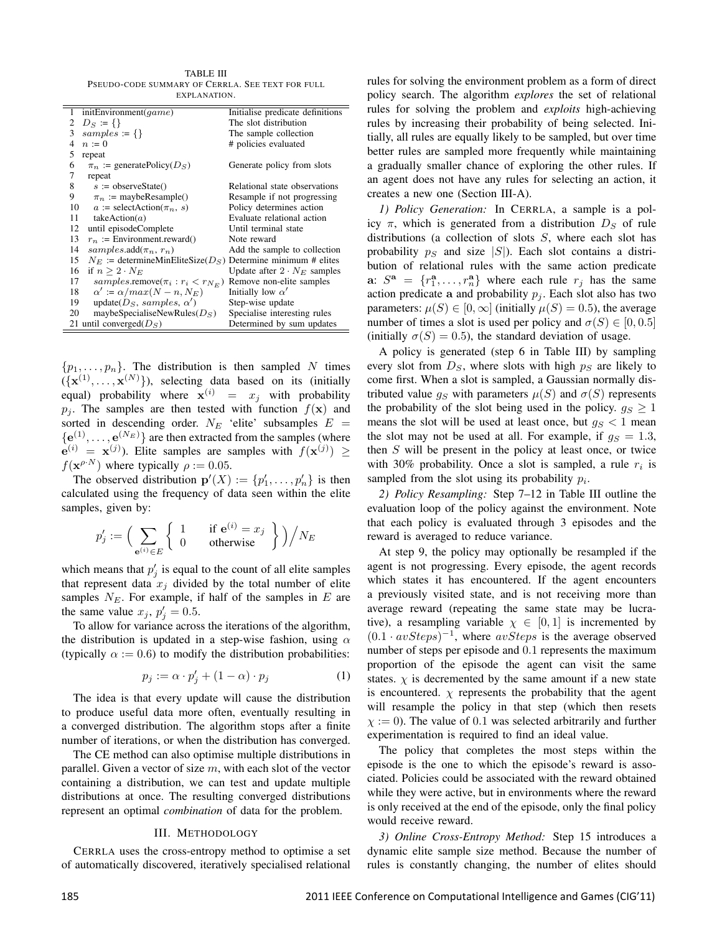TABLE III PSEUDO-CODE SUMMARY OF CERRLA. SEE TEXT FOR FULL EXPLANATION.

Ė

þ

| initEnvironment( $qame$ )<br>1                   | Initialise predicate definitions   |
|--------------------------------------------------|------------------------------------|
| $D_S := \{\}\$<br>2                              | The slot distribution              |
| $samples := \{\}$<br>3                           | The sample collection              |
| $n := 0$<br>4                                    | # policies evaluated               |
| 5<br>repeat                                      |                                    |
| 6<br>$\pi_n :=$ generatePolicy( $D_S$ )          | Generate policy from slots         |
| 7<br>repeat                                      |                                    |
| 8<br>$s :=$ observeState()                       | Relational state observations      |
| 9<br>$\pi_n := \text{maybeResample}()$           | Resample if not progressing        |
| $a := \text{selectAction}(\pi_n, s)$<br>10       | Policy determines action           |
| takeAction $(a)$<br>11                           | Evaluate relational action         |
| 12<br>until episodeComplete                      | Until terminal state               |
| $r_n$ := Environment.reward()<br>13              | Note reward                        |
| samples.add $(\pi_n, r_n)$<br>14                 | Add the sample to collection       |
| $N_E$ := determineMinEliteSize( $D_S$ )<br>15    | Determine minimum # elites         |
| 16<br>if $n > 2 \cdot N_E$                       | Update after $2 \cdot N_E$ samples |
| 17<br>samples.remove $(\pi_i : r_i \lt r_{N_F})$ | Remove non-elite samples           |
| $\alpha' := \alpha / max(N - n, N_E)$<br>18      | Initially low $\alpha'$            |
| update( $DS$ , samples, $\alpha'$ )<br>19        | Step-wise update                   |
| 20<br>maybeSpecialiseNewRules( $DS$ )            | Specialise interesting rules       |
| 21 until converged $(DS)$                        | Determined by sum updates          |

 $\{p_1, \ldots, p_n\}$ . The distribution is then sampled N times  $({\mathbf{x}}^{(1)},..., {\mathbf{x}}^{(N)})$ ), selecting data based on its (initially equal) probability where  $\mathbf{x}^{(i)} = x_j$  with probability  $p_i$ . The samples are then tested with function  $f(\mathbf{x})$  and sorted in descending order.  $N_E$  'elite' subsamples  $E =$  ${e^{(1)}, \ldots, e^{(N_E)}\}$  are then extracted from the samples (where  $e^{(i)} = x^{(j)}$ ). Elite samples are samples with  $f(x^{(j)}) \ge$  $f(\mathbf{x}^{\rho \cdot N})$  where typically  $\rho := 0.05$ .

The observed distribution  $\mathbf{p}'(X) := \{p'_1, \ldots, p'_n\}$  is then calculated using the frequency of data seen within the elite samples, given by:

$$
p'_j := \left(\sum_{\mathbf{e}^{(i)} \in E} \left\{ \begin{array}{cc} 1 & \text{if } \mathbf{e}^{(i)} = x_j \\ 0 & \text{otherwise} \end{array} \right\} \right) \Big/ N_E
$$

which means that  $p'_j$  is equal to the count of all elite samples that represent data  $x_j$  divided by the total number of elite samples  $N_E$ . For example, if half of the samples in E are the same value  $x_j$ ,  $p'_j = 0.5$ .

To allow for variance across the iterations of the algorithm, the distribution is updated in a step-wise fashion, using  $\alpha$ (typically  $\alpha := 0.6$ ) to modify the distribution probabilities:

$$
p_j := \alpha \cdot p'_j + (1 - \alpha) \cdot p_j \tag{1}
$$

The idea is that every update will cause the distribution to produce useful data more often, eventually resulting in a converged distribution. The algorithm stops after a finite number of iterations, or when the distribution has converged.

The CE method can also optimise multiple distributions in parallel. Given a vector of size  $m$ , with each slot of the vector containing a distribution, we can test and update multiple distributions at once. The resulting converged distributions represent an optimal *combination* of data for the problem.

#### III. METHODOLOGY

CERRLA uses the cross-entropy method to optimise a set of automatically discovered, iteratively specialised relational

rules for solving the environment problem as a form of direct policy search. The algorithm *explores* the set of relational rules for solving the problem and *exploits* high-achieving rules by increasing their probability of being selected. Initially, all rules are equally likely to be sampled, but over time better rules are sampled more frequently while maintaining a gradually smaller chance of exploring the other rules. If an agent does not have any rules for selecting an action, it creates a new one (Section III-A).

*1) Policy Generation:* In CERRLA, a sample is a policy  $\pi$ , which is generated from a distribution  $D<sub>S</sub>$  of rule distributions (a collection of slots  $S$ , where each slot has probability  $p_S$  and size  $|S|$ ). Each slot contains a distribution of relational rules with the same action predicate a:  $S^a = \{r_1^a, \ldots, r_n^a\}$  where each rule  $r_j$  has the same action predicate a and probability  $p_i$ . Each slot also has two parameters:  $\mu(S) \in [0, \infty]$  (initially  $\mu(S) = 0.5$ ), the average number of times a slot is used per policy and  $\sigma(S) \in [0, 0.5]$ (initially  $\sigma(S) = 0.5$ ), the standard deviation of usage.

A policy is generated (step 6 in Table III) by sampling every slot from  $D<sub>S</sub>$ , where slots with high  $p<sub>S</sub>$  are likely to come first. When a slot is sampled, a Gaussian normally distributed value  $g_S$  with parameters  $\mu(S)$  and  $\sigma(S)$  represents the probability of the slot being used in the policy.  $g_S \geq 1$ means the slot will be used at least once, but  $g_S < 1$  mean the slot may not be used at all. For example, if  $g_S = 1.3$ , then S will be present in the policy at least once, or twice with 30% probability. Once a slot is sampled, a rule  $r_i$  is sampled from the slot using its probability  $p_i$ .

*2) Policy Resampling:* Step 7–12 in Table III outline the evaluation loop of the policy against the environment. Note that each policy is evaluated through 3 episodes and the reward is averaged to reduce variance.

At step 9, the policy may optionally be resampled if the agent is not progressing. Every episode, the agent records which states it has encountered. If the agent encounters a previously visited state, and is not receiving more than average reward (repeating the same state may be lucrative), a resampling variable  $\chi \in [0,1]$  is incremented by  $(0.1 \cdot avSteps)^{-1}$ , where  $avSteps$  is the average observed number of steps per episode and 0.1 represents the maximum proportion of the episode the agent can visit the same states.  $\chi$  is decremented by the same amount if a new state is encountered.  $\chi$  represents the probability that the agent will resample the policy in that step (which then resets  $\chi$  := 0). The value of 0.1 was selected arbitrarily and further experimentation is required to find an ideal value.

The policy that completes the most steps within the episode is the one to which the episode's reward is associated. Policies could be associated with the reward obtained while they were active, but in environments where the reward is only received at the end of the episode, only the final policy would receive reward.

*3) Online Cross-Entropy Method:* Step 15 introduces a dynamic elite sample size method. Because the number of rules is constantly changing, the number of elites should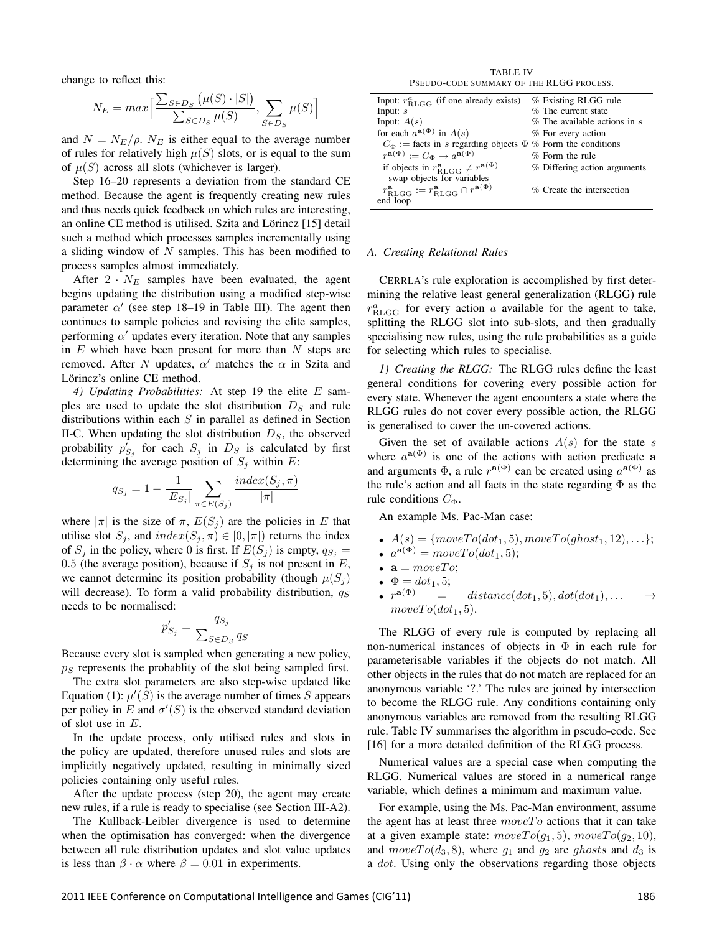change to reflect this:

$$
N_E = max \Big[ \frac{\sum_{S \in D_S} (\mu(S) \cdot |S|)}{\sum_{S \in D_S} \mu(S)}, \sum_{S \in D_S} \mu(S) \Big]
$$

and  $N = N_E/\rho$ .  $N_E$  is either equal to the average number of rules for relatively high  $\mu(S)$  slots, or is equal to the sum of  $\mu(S)$  across all slots (whichever is larger).

Step 16–20 represents a deviation from the standard CE method. Because the agent is frequently creating new rules and thus needs quick feedback on which rules are interesting, an online CE method is utilised. Szita and Lörincz [15] detail such a method which processes samples incrementally using a sliding window of  $N$  samples. This has been modified to process samples almost immediately.

After  $2 \cdot N_E$  samples have been evaluated, the agent begins updating the distribution using a modified step-wise parameter  $\alpha'$  (see step 18–19 in Table III). The agent then continues to sample policies and revising the elite samples, performing  $\alpha'$  updates every iteration. Note that any samples in  $E$  which have been present for more than  $N$  steps are removed. After N updates,  $\alpha'$  matches the  $\alpha$  in Szita and Lörincz's online CE method.

*4) Updating Probabilities:* At step 19 the elite E samples are used to update the slot distribution  $D<sub>S</sub>$  and rule distributions within each  $S$  in parallel as defined in Section II-C. When updating the slot distribution  $D<sub>S</sub>$ , the observed probability  $p'_{S_j}$  for each  $S_j$  in  $D_S$  is calculated by first determining the average position of  $S_j$  within E:

$$
q_{S_j} = 1 - \frac{1}{|E_{S_j}|} \sum_{\pi \in E(S_j)} \frac{index(S_j, \pi)}{|\pi|}
$$

where  $|\pi|$  is the size of  $\pi$ ,  $E(S_i)$  are the policies in E that utilise slot  $S_j$ , and  $index(S_j, \pi) \in [0, |\pi|)$  returns the index of  $S_j$  in the policy, where 0 is first. If  $E(S_j)$  is empty,  $q_{S_j} =$ 0.5 (the average position), because if  $S_i$  is not present in E, we cannot determine its position probability (though  $\mu(S_i)$ ) will decrease). To form a valid probability distribution,  $q_S$ needs to be normalised:

$$
p'_{S_j} = \frac{q_{S_j}}{\sum_{S \in D_S} q_S}
$$

Because every slot is sampled when generating a new policy,  $p<sub>S</sub>$  represents the probablity of the slot being sampled first.

The extra slot parameters are also step-wise updated like Equation (1):  $\mu'(S)$  is the average number of times S appears per policy in E and  $\sigma'(S)$  is the observed standard deviation of slot use in E.

In the update process, only utilised rules and slots in the policy are updated, therefore unused rules and slots are implicitly negatively updated, resulting in minimally sized policies containing only useful rules.

After the update process (step 20), the agent may create new rules, if a rule is ready to specialise (see Section III-A2).

The Kullback-Leibler divergence is used to determine when the optimisation has converged: when the divergence between all rule distribution updates and slot value updates is less than  $\beta \cdot \alpha$  where  $\beta = 0.01$  in experiments.

TABLE IV PSEUDO-CODE SUMMARY OF THE RLGG PROCESS.

| Input: $r_{\rm RLGG}^a$ (if one already exists)                                          | % Existing RLGG rule             |
|------------------------------------------------------------------------------------------|----------------------------------|
| Input: $s$                                                                               | % The current state              |
| Input: $A(s)$                                                                            | $%$ The available actions in $s$ |
| for each $a^{\mathbf{a}(\Phi)}$ in $A(s)$                                                | % For every action               |
| $C_{\Phi}$ := facts in s regarding objects $\Phi$ % Form the conditions                  |                                  |
| $r^{\mathbf{a}(\Phi)} := C_{\Phi} \to a^{\mathbf{a}(\Phi)}$                              | % Form the rule                  |
| if objects in $r_{\text{RLGG}}^{\mathbf{a}} \neq r^{\mathbf{a}(\Phi)}$                   | % Differing action arguments     |
| swap objects for variables                                                               |                                  |
| $r_{\text{RLGG}}^{\mathbf{a}} := r_{\text{RLGG}}^{\mathbf{a}} \cap r^{\mathbf{a}(\Phi)}$ | % Create the intersection        |
| end loop                                                                                 |                                  |

#### *A. Creating Relational Rules*

CERRLA's rule exploration is accomplished by first determining the relative least general generalization (RLGG) rule  $r_{\text{RLGG}}^{a}$  for every action a available for the agent to take, splitting the RLGG slot into sub-slots, and then gradually specialising new rules, using the rule probabilities as a guide for selecting which rules to specialise.

*1) Creating the RLGG:* The RLGG rules define the least general conditions for covering every possible action for every state. Whenever the agent encounters a state where the RLGG rules do not cover every possible action, the RLGG is generalised to cover the un-covered actions.

Given the set of available actions  $A(s)$  for the state s where  $a^{a(\Phi)}$  is one of the actions with action predicate a and arguments  $\Phi$ , a rule  $r^{a(\Phi)}$  can be created using  $a^{a(\Phi)}$  as the rule's action and all facts in the state regarding  $\Phi$  as the rule conditions  $C_{\Phi}$ .

An example Ms. Pac-Man case:

- $A(s) = \{moveTo(dot_1, 5), moveTo(ghost_1, 12), ...\};$
- $a^{\mathbf{a}(\Phi)} = moveTo(dot_1, 5);$
- $\mathbf{a} = moveTo;$
- $\Phi = dot_1, 5;$
- $r^{{\bf a}(\Phi)}$  $=$  distance(dot<sub>1</sub>, 5), dot(dot<sub>1</sub>), ...  $moveTo(dot<sub>1</sub>, 5).$

The RLGG of every rule is computed by replacing all non-numerical instances of objects in  $\Phi$  in each rule for parameterisable variables if the objects do not match. All other objects in the rules that do not match are replaced for an anonymous variable '?.' The rules are joined by intersection to become the RLGG rule. Any conditions containing only anonymous variables are removed from the resulting RLGG rule. Table IV summarises the algorithm in pseudo-code. See [16] for a more detailed definition of the RLGG process.

Numerical values are a special case when computing the RLGG. Numerical values are stored in a numerical range variable, which defines a minimum and maximum value.

For example, using the Ms. Pac-Man environment, assume the agent has at least three  $moveTo$  actions that it can take at a given example state:  $moveTo(g_1, 5), moveTo(g_2, 10),$ and  $moveTo(d_3, 8)$ , where  $g_1$  and  $g_2$  are ghosts and  $d_3$  is a *dot*. Using only the observations regarding those objects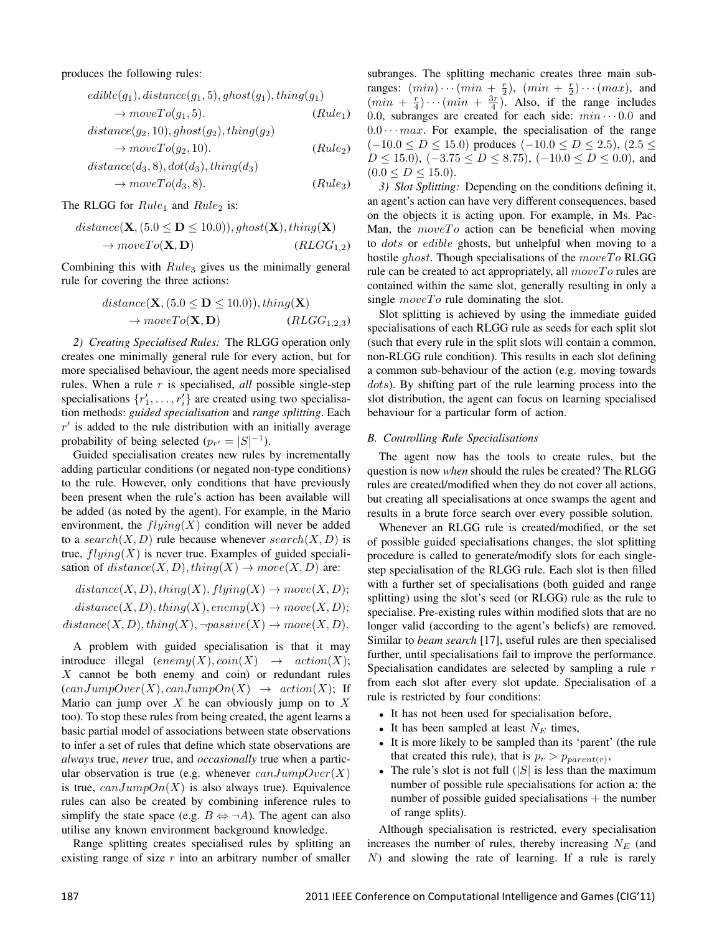produces the following rules:

$$
edible(g_1), distance(g_1, 5), ghost(g_1), thing(g_1)
$$
  
\n
$$
\rightarrow moveTo(g_1, 5). \qquad (Rule_1)
$$
  
\n
$$
distance(g_2, 10), ghost(g_2), thing(g_2)
$$
  
\n
$$
\rightarrow moveTo(g_2, 10). \qquad (Rule_2)
$$

$$
distance(d_3, 8), dot(d_3), thing(d_3)
$$
  
\n
$$
\rightarrow moveTo(d_3, 8). \qquad (Rule_3)
$$

The RLGG for  $Rule_1$  and  $Rule_2$  is:

distance(
$$
\mathbf{X}
$$
, (5.0  $\leq \mathbf{D} \leq 10.0$ )), ghost( $\mathbf{X}$ ), thing( $\mathbf{X}$ )  
\n $\rightarrow moveTo(\mathbf{X}, \mathbf{D})$  (RLGG<sub>1,2</sub>)

Combining this with  $Rule_3$  gives us the minimally general rule for covering the three actions:

$$
distance(\mathbf{X}, (5.0 \le \mathbf{D} \le 10.0)), thing(\mathbf{X})
$$

$$
\rightarrow moveTo(\mathbf{X}, \mathbf{D}) \qquad (RLGG_{1,2,3})
$$

*2) Creating Specialised Rules:* The RLGG operation only creates one minimally general rule for every action, but for more specialised behaviour, the agent needs more specialised rules. When a rule r is specialised, *all* possible single-step specialisations  $\{r'_1, \ldots, r'_i\}$  are created using two specialisation methods: *guided specialisation* and *range splitting*. Each  $r'$  is added to the rule distribution with an initially average probability of being selected  $(p_{r'} = |S|^{-1})$ .

Guided specialisation creates new rules by incrementally adding particular conditions (or negated non-type conditions) to the rule. However, only conditions that have previously been present when the rule's action has been available will be added (as noted by the agent). For example, in the Mario environment, the  $flying(X)$  condition will never be added to a search $(X, D)$  rule because whenever search $(X, D)$  is true,  $flying(X)$  is never true. Examples of guided specialisation of  $distance(X, D), thing(X) \rightarrow move(X, D)$  are:

$$
distance(X, D), thing(X), flying(X) \rightarrow move(X, D);
$$
  

$$
distance(X, D), thing(X), enemy(X) \rightarrow move(X, D);
$$
  

$$
distance(X, D), thing(X), \neg passive(X) \rightarrow move(X, D).
$$

A problem with guided specialisation is that it may introduce illegal  $(enemy(X), coin(X) \rightarrow action(X);$  $X$  cannot be both enemy and coin) or redundant rules  $(canJumpOver(X), canJumpOn(X) \rightarrow action(X);$  If Mario can jump over  $X$  he can obviously jump on to  $X$ too). To stop these rules from being created, the agent learns a basic partial model of associations between state observations to infer a set of rules that define which state observations are *always* true, *never* true, and *occasionally* true when a particular observation is true (e.g. whenever  $canJumpOver(X)$ ) is true,  $canJumpOn(X)$  is also always true). Equivalence rules can also be created by combining inference rules to simplify the state space (e.g.  $B \Leftrightarrow \neg A$ ). The agent can also utilise any known environment background knowledge.

Range splitting creates specialised rules by splitting an existing range of size  $r$  into an arbitrary number of smaller subranges. The splitting mechanic creates three main subranges:  $(min)\cdots(min + \frac{r}{2}), (min + \frac{r}{2})\cdots(max),$  and  $(min + \frac{r}{4}) \cdots (min + \frac{3r}{4})$ . Also, if the range includes 0.0, subranges are created for each side:  $min \cdots 0.0$  and  $0.0 \cdots max$ . For example, the specialisation of the range  $(-10.0 \le D \le 15.0)$  produces  $(-10.0 \le D \le 2.5)$ ,  $(2.5 \le$  $D \le 15.0$ ,  $(-3.75 \le D \le 8.75)$ ,  $(-10.0 \le D \le 0.0)$ , and  $(0.0 \leq D \leq 15.0).$ 

*3) Slot Splitting:* Depending on the conditions defining it, an agent's action can have very different consequences, based on the objects it is acting upon. For example, in Ms. Pac-Man, the  $moveTo$  action can be beneficial when moving to dots or edible ghosts, but unhelpful when moving to a hostile ghost. Though specialisations of the  $moveTo$  RLGG rule can be created to act appropriately, all  $moveTo$  rules are contained within the same slot, generally resulting in only a single  $moveTo$  rule dominating the slot.

Slot splitting is achieved by using the immediate guided specialisations of each RLGG rule as seeds for each split slot (such that every rule in the split slots will contain a common, non-RLGG rule condition). This results in each slot defining a common sub-behaviour of the action (e.g. moving towards dots). By shifting part of the rule learning process into the slot distribution, the agent can focus on learning specialised behaviour for a particular form of action.

#### *B. Controlling Rule Specialisations*

The agent now has the tools to create rules, but the question is now *when* should the rules be created? The RLGG rules are created/modified when they do not cover all actions, but creating all specialisations at once swamps the agent and results in a brute force search over every possible solution.

Whenever an RLGG rule is created/modified, or the set of possible guided specialisations changes, the slot splitting procedure is called to generate/modify slots for each singlestep specialisation of the RLGG rule. Each slot is then filled with a further set of specialisations (both guided and range splitting) using the slot's seed (or RLGG) rule as the rule to specialise. Pre-existing rules within modified slots that are no longer valid (according to the agent's beliefs) are removed. Similar to *beam search* [17], useful rules are then specialised further, until specialisations fail to improve the performance. Specialisation candidates are selected by sampling a rule r from each slot after every slot update. Specialisation of a rule is restricted by four conditions:

- It has not been used for specialisation before,
- It has been sampled at least  $N_E$  times,
- It is more likely to be sampled than its 'parent' (the rule that created this rule), that is  $p_r > p_{parent(r)}$ ,
- The rule's slot is not full  $(|S|)$  is less than the maximum number of possible rule specialisations for action a: the number of possible guided specialisations  $+$  the number of range splits).

Although specialisation is restricted, every specialisation increases the number of rules, thereby increasing  $N_E$  (and N) and slowing the rate of learning. If a rule is rarely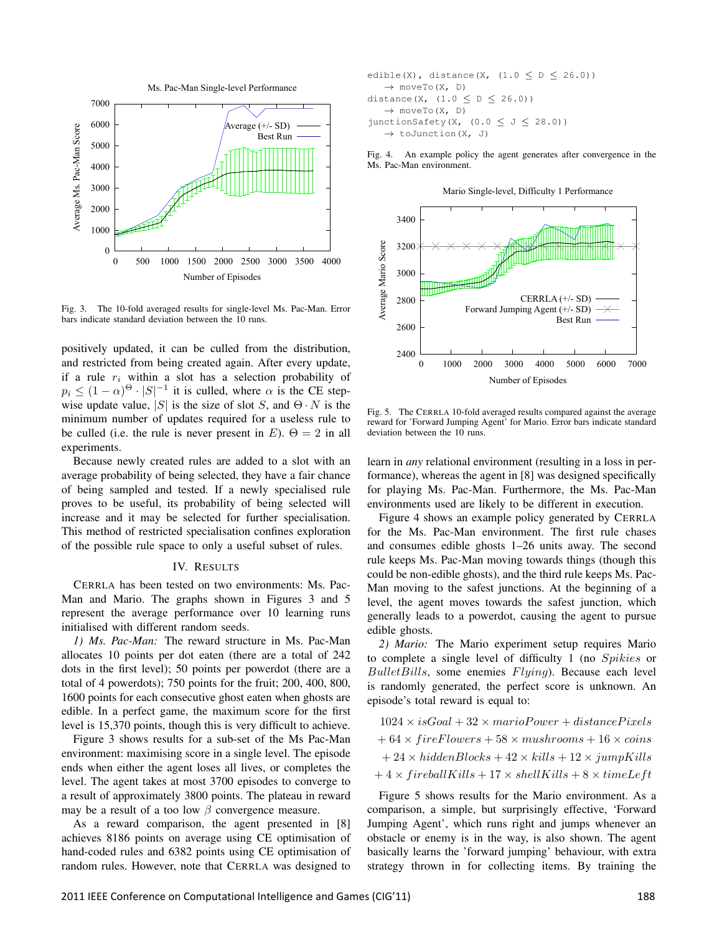

Fig. 3. The 10-fold averaged results for single-level Ms. Pac-Man. Error bars indicate standard deviation between the 10 runs.

positively updated, it can be culled from the distribution, and restricted from being created again. After every update, if a rule  $r_i$  within a slot has a selection probability of  $p_i \le (1-\alpha)^{\Theta} \cdot |S|^{-1}$  it is culled, where  $\alpha$  is the CE stepwise update value, |S| is the size of slot S, and  $\Theta \cdot N$  is the minimum number of updates required for a useless rule to be culled (i.e. the rule is never present in E).  $\Theta = 2$  in all experiments.

Because newly created rules are added to a slot with an average probability of being selected, they have a fair chance of being sampled and tested. If a newly specialised rule proves to be useful, its probability of being selected will increase and it may be selected for further specialisation. This method of restricted specialisation confines exploration of the possible rule space to only a useful subset of rules.

#### IV. RESULTS

CERRLA has been tested on two environments: Ms. Pac-Man and Mario. The graphs shown in Figures 3 and 5 represent the average performance over 10 learning runs initialised with different random seeds.

*1) Ms. Pac-Man:* The reward structure in Ms. Pac-Man allocates 10 points per dot eaten (there are a total of 242 dots in the first level); 50 points per powerdot (there are a total of 4 powerdots); 750 points for the fruit; 200, 400, 800, 1600 points for each consecutive ghost eaten when ghosts are edible. In a perfect game, the maximum score for the first level is 15,370 points, though this is very difficult to achieve.

Figure 3 shows results for a sub-set of the Ms Pac-Man environment: maximising score in a single level. The episode ends when either the agent loses all lives, or completes the level. The agent takes at most 3700 episodes to converge to a result of approximately 3800 points. The plateau in reward may be a result of a too low  $\beta$  convergence measure.

As a reward comparison, the agent presented in [8] achieves 8186 points on average using CE optimisation of hand-coded rules and 6382 points using CE optimisation of random rules. However, note that CERRLA was designed to

```
edible(X), distance(X, (1.0 < D < 26.0))
   \rightarrow moveTo(X, D)
distance(X, (1.0 \le D \le 26.0))
    \rightarrow moveTo(X, D)
junctionSafety(X, (0.0 \le J \le 28.0))
    \rightarrow toJunction(X, J)
```
Fig. 4. An example policy the agent generates after convergence in the Ms. Pac-Man environment.

Mario Single-level, Difficulty 1 Performance



Fig. 5. The CERRLA 10-fold averaged results compared against the average reward for 'Forward Jumping Agent' for Mario. Error bars indicate standard deviation between the 10 runs.

learn in *any* relational environment (resulting in a loss in performance), whereas the agent in [8] was designed specifically for playing Ms. Pac-Man. Furthermore, the Ms. Pac-Man environments used are likely to be different in execution.

Figure 4 shows an example policy generated by CERRLA for the Ms. Pac-Man environment. The first rule chases and consumes edible ghosts 1–26 units away. The second rule keeps Ms. Pac-Man moving towards things (though this could be non-edible ghosts), and the third rule keeps Ms. Pac-Man moving to the safest junctions. At the beginning of a level, the agent moves towards the safest junction, which generally leads to a powerdot, causing the agent to pursue edible ghosts.

*2) Mario:* The Mario experiment setup requires Mario to complete a single level of difficulty 1 (no Spikies or  $BulletBills$ , some enemies  $Flying$ ). Because each level is randomly generated, the perfect score is unknown. An episode's total reward is equal to:

 $1024 \times isGoal + 32 \times mariPower + distancePixels$  $+ 64 \times fireFlowers + 58 \times mushrooms + 16 \times coins$  $+ 24 \times hidden Blocks + 42 \times kills + 12 \times jumpKills$  $+4 \times fireballKills + 17 \times shellKills + 8 \times timeLeft$ 

Figure 5 shows results for the Mario environment. As a comparison, a simple, but surprisingly effective, 'Forward Jumping Agent', which runs right and jumps whenever an obstacle or enemy is in the way, is also shown. The agent basically learns the 'forward jumping' behaviour, with extra strategy thrown in for collecting items. By training the